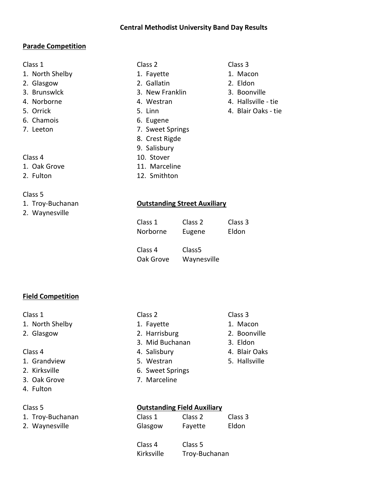### Central Methodist University Band Day Results

### Parade Competition

- 1. North Shelby 1. Fayette 1. Macon
- 2. Glasgow 2. Gallatin 2. Eldon
- 
- 
- 5. Orrick 5. Linn 4. Blair Oaks tie
- 
- 

- 
- 

# Class 5

- 
- 2. Waynesville

- 
- 
- 3. Brunswlck 3. New Franklin 3. Boonville
- 4. Norborne 1. Morthuist 1. Westran 1. Hallsville tie
	-
- 6. Chamois 6. Eugene
- 7. Leeton 7. Sweet Springs
	- 8. Crest Rigde
	- 9. Salisbury
- Class 4 10. Stover
- 1. Oak Grove 11. Marceline
	-

# 1. Troy-Buchanan Outstanding Street Auxiliary

- Class 1 Class 2 Class 3 Norborne Eugene Eldon
- Class 4 Class5 Oak Grove Waynesville

# Field Competition

- 1. North Shelby 1. Fayette 1. Macon
- 

- 1. Grandview 5. Westran 5. Hallsville
- 
- 
- 4. Fulton

- 1. Troy-Buchanan
- 2. Waynesville

- 
- 2. Glasgow 2. Harrisburg 2. Boonville
	- 3. Mid Buchanan 3. Eldon
	-
	-
- 2. Kirksville 6. Sweet Springs
- 3. Oak Grove 7. Marceline

### Class 5 Outstanding Field Auxiliary

| 1. Troy-Buchanan<br>2. Waynesville | Class 1<br>Glasgow | Class 2<br>Fayette | Class 3<br>Eldon |
|------------------------------------|--------------------|--------------------|------------------|
|                                    | Class 4            | Class 5            |                  |

Kirksville Troy-Buchanan

- 
- 
- 
- 
- 
- Class 1 Class 2 Class 2 Class 2 Class 3
	-
	-
	-
- Class 4 **4. Salisbury** 4. Salisbury 4. Blair Oaks
	-
- 
- 
- 2. Fulton 12. Smithton
	-

Class 1 Class 2 Class 3